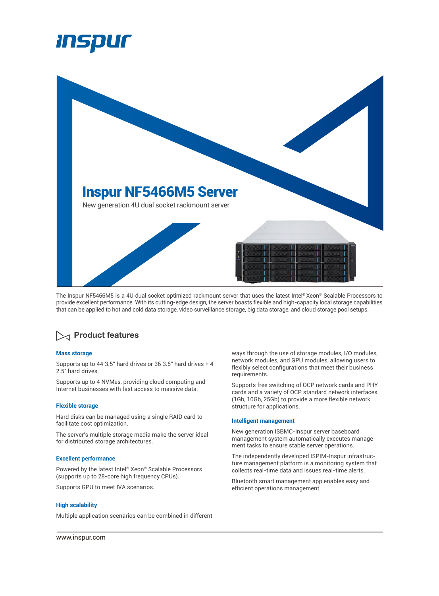



The Inspur NF5466M5 is a 4U dual socket optimized rackmount server that uses the latest Intel® Xeon® Scalable Processors to provide excellent performance. With its cutting-edge design, the server boasts flexible and high-capacity local storage capabilities that can be applied to hot and cold data storage, video surveillance storage, big data storage, and cloud storage pool setups.

# **Product features**

### **Mass storage**

Supports up to 44 3.5" hard drives or 36 3.5" hard drives + 4 2.5" hard drives.

Supports up to 4 NVMes, providing cloud computing and Internet businesses with fast access to massive data.

#### **Flexible storage**

Hard disks can be managed using a single RAID card to facilitate cost optimization.

The server's multiple storage media make the server ideal for distributed storage architectures.

### **Excellent performance**

Powered by the latest Intel® Xeon® Scalable Processors (supports up to 28-core high frequency CPUs).

Supports GPU to meet IVA scenarios.

## **High scalability**

Multiple application scenarios can be combined in different

ways through the use of storage modules, I/O modules, network modules, and GPU modules, allowing users to flexibly select configurations that meet their business requirements.

Supports free switching of OCP network cards and PHY cards and a variety of OCP standard network interfaces (1Gb, 10Gb, 25Gb) to provide a more flexible network structure for applications.

#### **Intelligent management**

New generation ISBMC-Inspur server baseboard management system automatically executes management tasks to ensure stable server operations.

The independently developed ISPIM-Inspur infrastructure management platform is a monitoring system that collects real-time data and issues real-time alerts.

Bluetooth smart management app enables easy and efficient operations management.